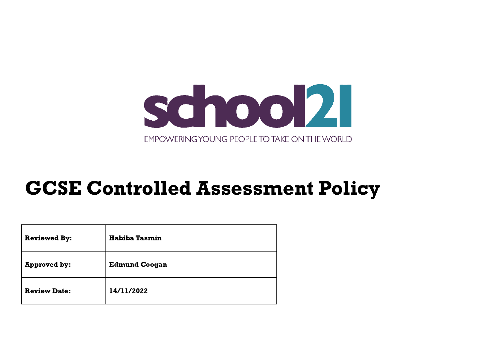

# GCSE Controlled Assessment Policy

| <b>Reviewed By:</b> | <b>Habiba Tasmin</b> |
|---------------------|----------------------|
| <b>Approved by:</b> | <b>Edmund Coogan</b> |
| <b>Review Date:</b> | 14/11/2022           |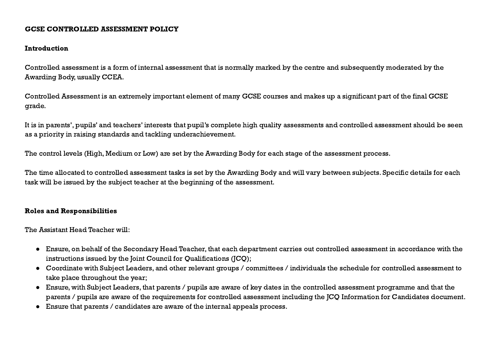#### GCSE CONTROLLED ASSESSMENT POLICY

#### **Introduction**

Controlled assessment is a form of internal assessment that is normally marked by the centre and subsequently moderated by the Awarding Body, usually CCEA.

Controlled Assessment is an extremely important element of many GCSE courses and makes up a significant part of the final GCSE grade.

It is in parents', pupils' and teachers' interests that pupil's complete high quality assessments and controlled assessment should be seen as a priority in raising standards and tackling underachievement.

The control levels (High, Medium or Low) are set by the Awarding Body for each stage of the assessment process.

The time allocated to controlled assessment tasks is set by the Awarding Body and will vary between subjects. Specific details for each task will be issued by the subject teacher at the beginning of the assessment.

# Roles and Responsibilities

The Assistant Head Teacher will:

- Ensure, on behalf of the Secondary Head Teacher, that each department carries out controlled assessment in accordance with the instructions issued by the Joint Council for Oualifications (JCO);
- Coordinate with Subject Leaders, and other relevant groups / committees / individuals the schedule for controlled assessment to take place throughout the year;
- Ensure, with Subject Leaders, that parents / pupils are aware of key dates in the controlled assessment programme and that the parents / pupils are aware of the requirements for controlled assessment including the JCQ Information for Candidates document.
- Ensure that parents / candidates are aware of the internal appeals process.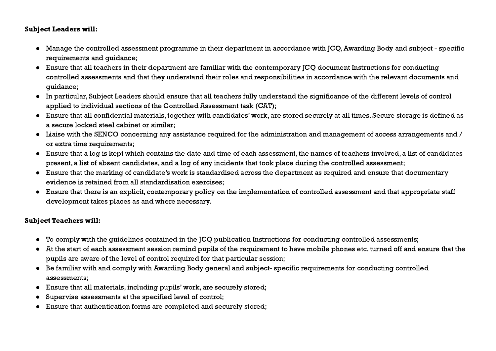### Subject Leaders will:

- Manage the controlled assessment programme in their department in accordance with JCQ,Awarding Body and subject specific requirements and guidance;
- Ensure that all teachers in their department are familiar with the contemporary JCQ document Instructions for conducting controlled assessments and that they understand their roles and responsibilities in accordance with the relevant documents and guidance;
- In particular, Subject Leaders should ensure that all teachers fully understand the significance of the different levels of control applied to individual sections of the Controlled Assessment task (CAT);
- Ensure that all confidential materials, together with candidates' work, are stored securely at all times. Secure storage is defined as a secure locked steel cabinet or similar;
- Liaise with the SENCO concerning any assistance required for the administration and management of access arrangements and / or extra time requirements;
- Ensure that a log is kept which contains the date and time of each assessment, the names of teachers involved, a list of candidates present, a list of absent candidates, and a log of any incidents that took place during the controlled assessment;
- Ensure that the marking of candidate's work is standardised across the department as required and ensure that documentary evidence is retained from all standardisation exercises;
- Ensure that there is an explicit, contemporary policy on the implementation of controlled assessment and that appropriate staff development takes places as and where necessary.

# Subject Teachers will:

- To comply with the guidelines contained in the JCQ publication Instructions for conducting controlled assessments;
- At the start of each assessment session remind pupils of the requirement to have mobile phones etc. turned off and ensure that the pupils are aware of the level of control required for that particular session;
- Be familiar with and comply with Awarding Body general and subject- specific requirements for conducting controlled assessments;
- Ensure that all materials, including pupils' work, are securely stored;
- Supervise assessments at the specified level of control;
- Ensure that authentication forms are completed and securely stored;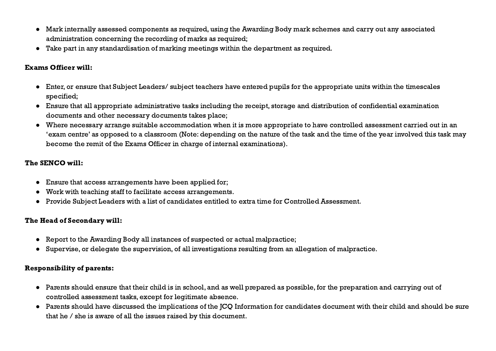- Mark internally assessed components as required, using the Awarding Body mark schemes and carry out any associated administration concerning the recording of marks as required;
- Take part in any standardisation of marking meetings within the department as required.

#### Exams Officer will:

- Enter, or ensure that Subject Leaders/ subject teachers have entered pupils for the appropriate units within the timescales specified;
- Ensure that all appropriate administrative tasks including the receipt, storage and distribution of confidential examination documents and other necessary documents takes place;
- Where necessary arrange suitable accommodation when it is more appropriate to have controlled assessment carried out in an 'exam centre' as opposed to a classroom (Note: depending on the nature of the task and the time of the year involved this task may become the remit of the Exams Officer in charge of internal examinations).

# The SENCO will:

- Ensure that access arrangements have been applied for;
- Work with teaching staff to facilitate access arrangements.
- Provide Subject Leaders with a list of candidates entitled to extra time for Controlled Assessment.

# The Head of Secondary will:

- Report to the Awarding Body all instances of suspected or actual malpractice;
- Supervise, or delegate the supervision, of all investigations resulting from an allegation of malpractice.

#### Responsibility of parents:

- Parents should ensure that their child is in school, and as well prepared as possible, for the preparation and carrying out of controlled assessment tasks, except for legitimate absence.
- Parents should have discussed the implications of the JCQ Information for candidates document with their child and should be sure that he / she is aware of all the issues raised by this document.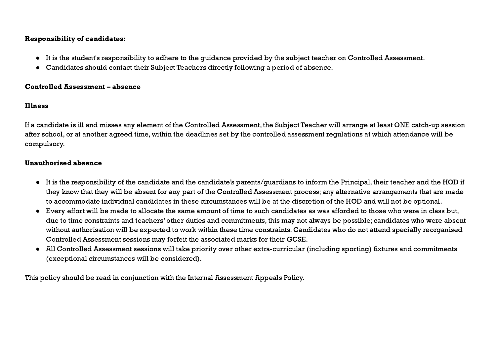### Responsibility of candidates:

- It is the student's responsibility to adhere to the guidance provided by the subject teacher on Controlled Assessment.
- Candidates should contact their Subject Teachers directly following a period of absence.

#### Controlled Assessment – absence

# Illness

If a candidate is ill and misses any element of the Controlled Assessment, the Subject Teacher will arrange at least ONE catch-up session after school, or at another agreed time, within the deadlines set by the controlled assessment regulations at which attendance will be compulsory.

# Unauthorised absence

- It is the responsibility of the candidate and the candidate's parents/guardians to inform the Principal, their teacher and the HOD if they know that they will be absent for any part of the Controlled Assessment process; any alternative arrangements that are made to accommodate individual candidates in these circumstances will be at the discretion of the HOD and will not be optional.
- Every effort will be made to allocate the same amount of time to such candidates as was afforded to those who were in class but, due to time constraints and teachers' other duties and commitments, this may not always be possible; candidates who were absent without authorisation will be expected to work within these time constraints. Candidates who do not attend specially reorganised Controlled Assessment sessions may forfeit the associated marks for their GCSE.
- All Controlled Assessment sessions will take priority over other extra-curricular (including sporting) fixtures and commitments (exceptional circumstances will be considered).

This policy should be read in conjunction with the Internal Assessment Appeals Policy.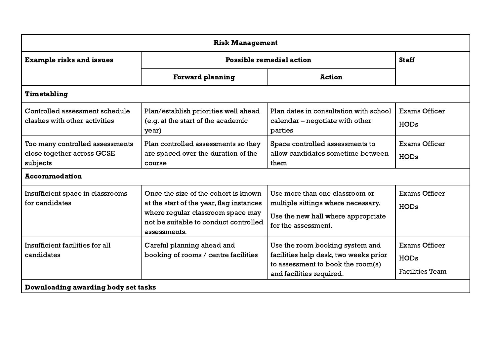| <b>Risk Management</b>                                                    |                                                                                                                                                                                |                                                                                                                                           |                                                               |
|---------------------------------------------------------------------------|--------------------------------------------------------------------------------------------------------------------------------------------------------------------------------|-------------------------------------------------------------------------------------------------------------------------------------------|---------------------------------------------------------------|
| <b>Example risks and issues</b>                                           | <b>Possible remedial action</b>                                                                                                                                                |                                                                                                                                           | <b>Staff</b>                                                  |
|                                                                           | <b>Forward planning</b>                                                                                                                                                        | <b>Action</b>                                                                                                                             |                                                               |
| Timetabling                                                               |                                                                                                                                                                                |                                                                                                                                           |                                                               |
| Controlled assessment schedule<br>clashes with other activities           | Plan/establish priorities well ahead<br>(e.g. at the start of the academic<br>year)                                                                                            | Plan dates in consultation with school<br>calendar – negotiate with other<br>parties                                                      | <b>Exams Officer</b><br><b>HODs</b>                           |
| Too many controlled assessments<br>close together across GCSE<br>subjects | Plan controlled assessments so they<br>are spaced over the duration of the<br><b>COUTSe</b>                                                                                    | Space controlled assessments to<br>allow candidates sometime between<br>them                                                              | <b>Exams Officer</b><br><b>HODs</b>                           |
| <b>Accommodation</b>                                                      |                                                                                                                                                                                |                                                                                                                                           |                                                               |
| Insufficient space in classrooms<br>for candidates                        | Once the size of the cohort is known<br>at the start of the year, flag instances<br>where regular classroom space may<br>not be suitable to conduct controlled<br>assessments. | Use more than one classroom or<br>multiple sittings where necessary.<br>Use the new hall where appropriate<br>for the assessment.         | <b>Exams Officer</b><br><b>HODs</b>                           |
| Insufficient facilities for all<br>candidates                             | Careful planning ahead and<br>booking of rooms / centre facilities                                                                                                             | Use the room booking system and<br>facilities help desk, two weeks prior<br>to assessment to book the room(s)<br>and facilities required. | <b>Exams Officer</b><br><b>HODs</b><br><b>Facilities Team</b> |
| Downloading awarding body set tasks                                       |                                                                                                                                                                                |                                                                                                                                           |                                                               |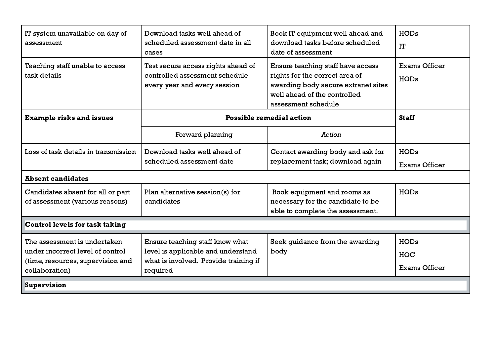| IT system unavailable on day of<br>assessment                                                                           | Download tasks well ahead of<br>scheduled assessment date in all<br>cases                                                  | Book IT equipment well ahead and<br>download tasks before scheduled<br>date of assessment                                                                         | <b>HODs</b><br>IT                                 |
|-------------------------------------------------------------------------------------------------------------------------|----------------------------------------------------------------------------------------------------------------------------|-------------------------------------------------------------------------------------------------------------------------------------------------------------------|---------------------------------------------------|
| Teaching staff unable to access<br>task details                                                                         | Test secure access rights ahead of<br>controlled assessment schedule<br>every year and every session                       | Ensure teaching staff have access<br>rights for the correct area of<br>awarding body secure extranet sites<br>well ahead of the controlled<br>assessment schedule | <b>Exams Officer</b><br><b>HODs</b>               |
| <b>Example risks and issues</b>                                                                                         | <b>Possible remedial action</b>                                                                                            |                                                                                                                                                                   | <b>Staff</b>                                      |
|                                                                                                                         | Forward planning                                                                                                           | <b>Action</b>                                                                                                                                                     |                                                   |
| Loss of task details in transmission                                                                                    | Download tasks well ahead of<br>scheduled assessment date                                                                  | Contact awarding body and ask for<br>replacement task; download again                                                                                             | <b>HODs</b><br><b>Exams Officer</b>               |
| <b>Absent candidates</b>                                                                                                |                                                                                                                            |                                                                                                                                                                   |                                                   |
| Candidates absent for all or part<br>of assessment (various reasons)                                                    | Plan alternative session(s) for<br>candidates                                                                              | Book equipment and rooms as<br>necessary for the candidate to be<br>able to complete the assessment.                                                              | <b>HODs</b>                                       |
| Control levels for task taking                                                                                          |                                                                                                                            |                                                                                                                                                                   |                                                   |
| The assessment is undertaken<br>under incorrect level of control<br>(time, resources, supervision and<br>collaboration) | Ensure teaching staff know what<br>level is applicable and understand<br>what is involved. Provide training if<br>required | Seek quidance from the awarding<br>body                                                                                                                           | <b>HODs</b><br><b>HOC</b><br><b>Exams Officer</b> |
| Supervision                                                                                                             |                                                                                                                            |                                                                                                                                                                   |                                                   |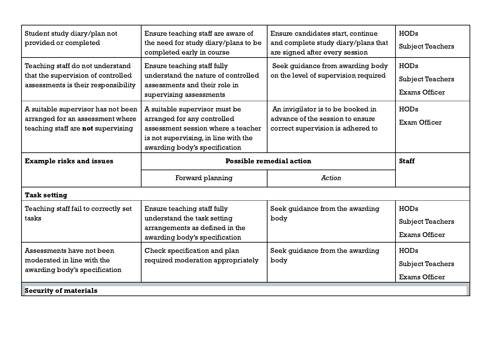| Student study diary/plan not<br>provided or completed                                                         | Ensure teaching staff are aware of<br>the need for study diary/plans to be<br>completed early in course                                                                     | Ensure candidates start, continue<br>and complete study diary/plans that<br>are signed after every session | <b>HODs</b><br><b>Subject Teachers</b>                         |
|---------------------------------------------------------------------------------------------------------------|-----------------------------------------------------------------------------------------------------------------------------------------------------------------------------|------------------------------------------------------------------------------------------------------------|----------------------------------------------------------------|
| Teaching staff do not understand<br>that the supervision of controlled<br>assessments is their responsibility | Ensure teaching staff fully<br>understand the nature of controlled<br>assessments and their role in<br>supervising assessments                                              | Seek quidance from awarding body<br>on the level of supervision required                                   | <b>HODs</b><br><b>Subject Teachers</b><br><b>Exams Officer</b> |
| A suitable supervisor has not been<br>arranged for an assessment where<br>teaching staff are not supervising  | A suitable supervisor must be<br>arranged for any controlled<br>assessment session where a teacher<br>is not supervising, in line with the<br>awarding body's specification | An invigilator is to be booked in<br>advance of the session to ensure<br>correct supervision is adhered to | <b>HODs</b><br>Exam Officer                                    |
| <b>Example risks and issues</b>                                                                               | <b>Possible remedial action</b>                                                                                                                                             |                                                                                                            | <b>Staff</b>                                                   |
|                                                                                                               | Forward planning                                                                                                                                                            | Action                                                                                                     |                                                                |
| <b>Task setting</b>                                                                                           |                                                                                                                                                                             |                                                                                                            |                                                                |
| Teaching staff fail to correctly set<br>tasks                                                                 | Ensure teaching staff fully<br>understand the task setting<br>arrangements as defined in the<br>awarding body's specification                                               | Seek guidance from the awarding<br>body                                                                    | <b>HODs</b><br><b>Subject Teachers</b><br><b>Exams Officer</b> |
| Assessments have not been<br>moderated in line with the<br>awarding body's specification                      | Check specification and plan<br>required moderation appropriately                                                                                                           | Seek guidance from the awarding<br>body                                                                    | <b>HODs</b><br><b>Subject Teachers</b><br><b>Exams Officer</b> |
| <b>Security of materials</b>                                                                                  |                                                                                                                                                                             |                                                                                                            |                                                                |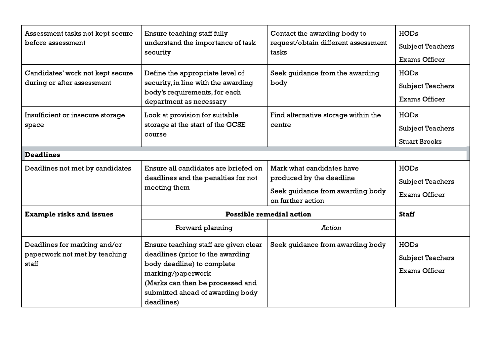| Assessment tasks not kept secure<br>before assessment                  | Ensure teaching staff fully<br>understand the importance of task<br>security                                                                                                                                       | Contact the awarding body to<br>request/obtain different assessment<br>tasks                                   | <b>HODs</b><br><b>Subject Teachers</b><br><b>Exams Officer</b> |
|------------------------------------------------------------------------|--------------------------------------------------------------------------------------------------------------------------------------------------------------------------------------------------------------------|----------------------------------------------------------------------------------------------------------------|----------------------------------------------------------------|
| Candidates' work not kept secure<br>during or after assessment         | Define the appropriate level of<br>security, in line with the awarding<br>body's requirements, for each<br>department as necessary                                                                                 | Seek guidance from the awarding<br>body                                                                        | <b>HODs</b><br><b>Subject Teachers</b><br><b>Exams Officer</b> |
| Insufficient or insecure storage<br>space                              | Look at provision for suitable<br>storage at the start of the GCSE<br>course                                                                                                                                       | Find alternative storage within the<br>centre                                                                  | <b>HODs</b><br><b>Subject Teachers</b><br><b>Stuart Brooks</b> |
| <b>Deadlines</b>                                                       |                                                                                                                                                                                                                    |                                                                                                                |                                                                |
| Deadlines not met by candidates                                        | Ensure all candidates are briefed on<br>deadlines and the penalties for not<br>meeting them                                                                                                                        | Mark what candidates have<br>produced by the deadline<br>Seek quidance from awarding body<br>on further action | <b>HODs</b><br><b>Subject Teachers</b><br><b>Exams Officer</b> |
| <b>Example risks and issues</b>                                        | <b>Possible remedial action</b>                                                                                                                                                                                    |                                                                                                                | <b>Staff</b>                                                   |
|                                                                        | Forward planning                                                                                                                                                                                                   | <b>Action</b>                                                                                                  |                                                                |
| Deadlines for marking and/or<br>paperwork not met by teaching<br>staff | Ensure teaching staff are given clear<br>deadlines (prior to the awarding<br>body deadline) to complete<br>marking/paperwork<br>(Marks can then be processed and<br>submitted ahead of awarding body<br>deadlines) | Seek guidance from awarding body                                                                               | <b>HODs</b><br><b>Subject Teachers</b><br><b>Exams Officer</b> |